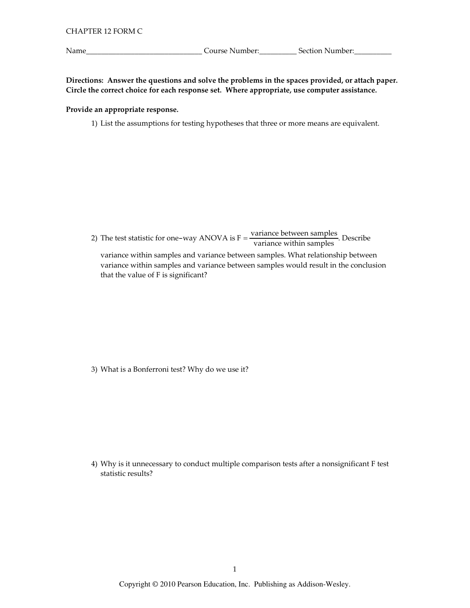Name\_

Course Number: Section Number:

Directions: Answer the questions and solve the problems in the spaces provided, or attach paper. Circle the correct choice for each response set. Where appropriate, use computer assistance.

## Provide an appropriate response.

1) List the assumptions for testing hypotheses that three or more means are equivalent.

2) The test statistic for one-way ANOVA is  $F = \frac{variance \ between \ samples}{variance \ within \ samples}$ . Describe variance within samples and variance between samples. What relationship between

variance within samples and variance between samples would result in the conclusion that the value of F is significant?

3) What is a Bonferroni test? Why do we use it?

4) Why is it unnecessary to conduct multiple comparison tests after a nonsignificant F test statistic results?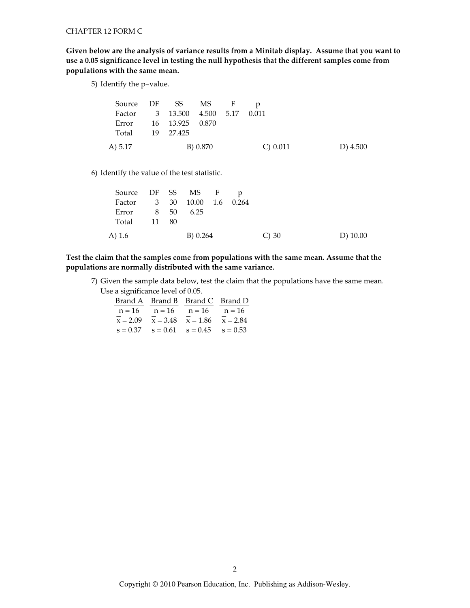Given below are the analysis of variance results from a Minitab display. Assume that you want to use a 0.05 significance level in testing the null hypothesis that the different samples come from populations with the same mean.

5) Identify the p-value.

|                 | Source DF SS MS F                |          |            |          |
|-----------------|----------------------------------|----------|------------|----------|
|                 | Factor 3 13.500 4.500 5.17 0.011 |          |            |          |
|                 | Error 16 13.925 0.870            |          |            |          |
| Total 19 27.425 |                                  |          |            |          |
| A) 5.17         |                                  | B) 0.870 | C) $0.011$ | D) 4.500 |

6) Identify the value of the test statistic.

| Source DF SS MS F p         |  |          |  |            |            |
|-----------------------------|--|----------|--|------------|------------|
| Factor 3 30 10.00 1.6 0.264 |  |          |  |            |            |
| Error 8 50                  |  | 6.25     |  |            |            |
| Total 11 80                 |  |          |  |            |            |
| A) 1.6                      |  | B) 0.264 |  | $\circ$ 30 | $D)$ 10.00 |

Test the claim that the samples come from populations with the same mean. Assume that the populations are normally distributed with the same variance.

7) Given the sample data below, test the claim that the populations have the same mean. Use a significance level of 0.05.

|            | Brand A Brand B Brand C Brand D             |  |
|------------|---------------------------------------------|--|
|            | $n = 16$ $n = 16$ $n = 16$ $n = 16$         |  |
| $x = 2.09$ | $x = 3.48$ $x = 1.86$ $x = 2.84$            |  |
|            | $s = 0.37$ $s = 0.61$ $s = 0.45$ $s = 0.53$ |  |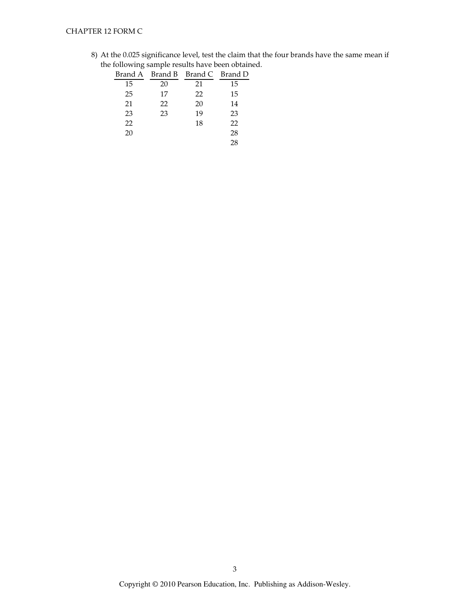8) At the 0.025 significance level, test the claim that the four brands have the same mean if the following sample results have been obtained.

|    |    | Brand A Brand B Brand C Brand D |    |
|----|----|---------------------------------|----|
| 15 | 20 | 21                              | 15 |
| 25 | 17 | 22                              | 15 |
| 21 | 22 | 20                              | 14 |
| 23 | 23 | 19                              | 23 |
| 22 |    | 18                              | 22 |
| 20 |    |                                 | 28 |
|    |    |                                 | 28 |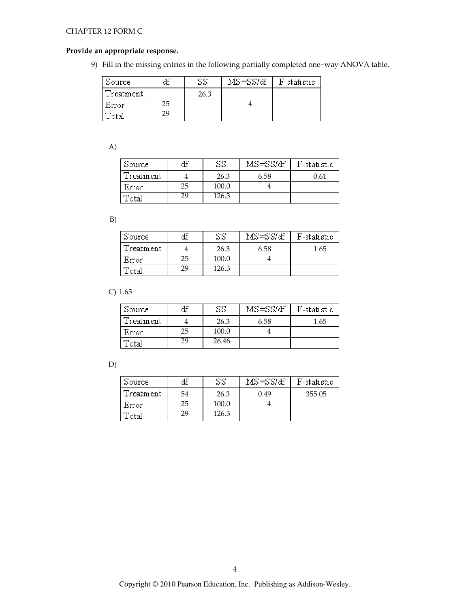#### CHAPTER 12 FORM C

#### Provide an appropriate response.

9) Fill in the missing entries in the following partially completed one-way ANOVA table.

| Source      | dГ | SS   | MS=SS/df | F-statistic |
|-------------|----|------|----------|-------------|
| (Treatment) |    | 26.3 |          |             |
| Error       | 25 |      |          |             |
| 'otal       | 29 |      |          |             |

A)

| Source    | uг | SS    | MS=SS/df- | F-statistic |
|-----------|----|-------|-----------|-------------|
| Treatment |    | 26.3  | 6.58      | 0.61        |
| Error     | 25 | 100.0 |           |             |
| 'otal     | 29 | 126.3 |           |             |

B)

| Source      | df | SS    | $MS = SS/df$ | F-statistic |
|-------------|----|-------|--------------|-------------|
| (Treatment) |    | 26.3  | 6.58         | 1.65        |
| Error       | 25 | 100.0 |              |             |
| 'otal       | 29 | 126.3 |              |             |

 $C) 1.65$ 

| Source      | аı | SS    | MS=SS/df | F-statistic |
|-------------|----|-------|----------|-------------|
| (Treatment) |    | 26.3  | 6.58     | 1.65        |
| Error       | 25 | 100.0 |          |             |
| otal        | 29 | 26.46 |          |             |

D)

| Source      | аı | SS    | MS=SSMf | F-statistic |
|-------------|----|-------|---------|-------------|
| (Treatment) | 54 | 26.3  | 0.49    | 355.05      |
| Error       | 25 | 100.0 |         |             |
| otal        | 29 | 26.3  |         |             |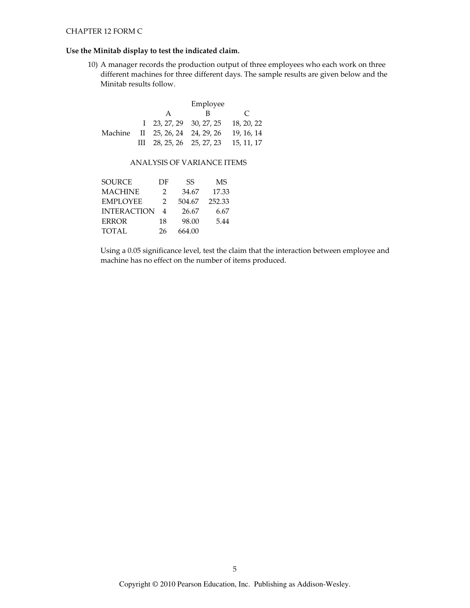# Use the Minitab display to test the indicated claim.

10) A manager records the production output of three employees who each work on three different machines for three different days. The sample results are given below and the Minitab results follow.

|  | Employee                         |                                                     |               |  |
|--|----------------------------------|-----------------------------------------------------|---------------|--|
|  | A                                | в                                                   | $\mathcal{C}$ |  |
|  |                                  | $1\quad 23, 27, 29\quad 30, 27, 25\quad 18, 20, 22$ |               |  |
|  | Machine II 25, 26, 24 24, 29, 26 |                                                     | 19, 16, 14    |  |
|  |                                  | III 28, 25, 26 25, 27, 23 15, 11, 17                |               |  |

## ANALYSIS OF VARIANCE ITEMS

| SOURCE             | DF             | SS     | MS     |
|--------------------|----------------|--------|--------|
| MACHINE            | $\mathcal{P}$  | 34.67  | 17.33  |
| <b>EMPLOYEE</b>    | 2              | 504.67 | 252.33 |
| <b>INTERACTION</b> | $\overline{4}$ | 26.67  | 6.67   |
| <b>ERROR</b>       | 18             | 98.00  | 5.44   |
| TOTAL              | 26             | 664.00 |        |

Using a 0.05 significance level, test the claim that the interaction between employee and machine has no effect on the number of items produced.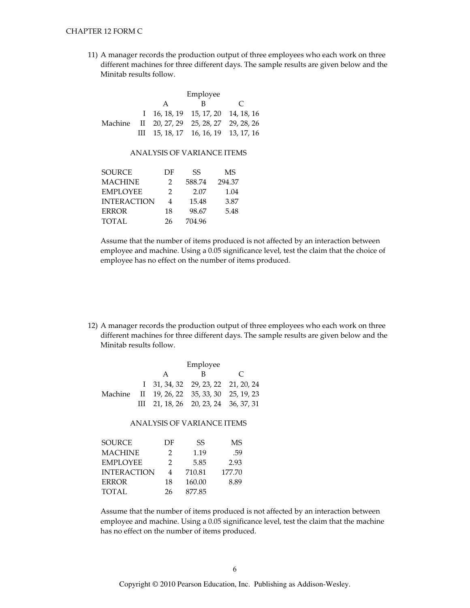11) A manager records the production output of three employees who each work on three different machines for three different days. The sample results are given below and the Minitab results follow.

|  | Employee |                                                  |               |  |
|--|----------|--------------------------------------------------|---------------|--|
|  | A        | в                                                | $\mathcal{C}$ |  |
|  |          | $1 \quad 16.18.19 \quad 15.17.20 \quad 14.18.16$ |               |  |
|  |          | Machine II 20, 27, 29 25, 28, 27 29, 28, 26      |               |  |
|  |          | III $15, 18, 17$ 16, 16, 19 13, 17, 16           |               |  |

### ANALYSIS OF VARIANCE ITEMS

| <b>SOURCE</b>      | DF            | SS     | MS     |
|--------------------|---------------|--------|--------|
| <b>MACHINE</b>     | 2             | 588.74 | 294.37 |
| <b>EMPLOYEE</b>    | $\mathcal{L}$ | 2.07   | 1.04   |
| <b>INTERACTION</b> | 4             | 15.48  | 3.87   |
| <b>ERROR</b>       | 18            | 98.67  | 5.48   |
| <b>TOTAL</b>       | 26            | 704.96 |        |
|                    |               |        |        |

Assume that the number of items produced is not affected by an interaction between employee and machine. Using a 0.05 significance level, test the claim that the choice of employee has no effect on the number of items produced.

12) A manager records the production output of three employees who each work on three different machines for three different days. The sample results are given below and the Minitab results follow.

|  | Employee |                                             |               |
|--|----------|---------------------------------------------|---------------|
|  | A        | к                                           | $\mathcal{C}$ |
|  |          | I 31, 34, 32 29, 23, 22 21, 20, 24          |               |
|  |          | Machine II 19, 26, 22 35, 33, 30 25, 19, 23 |               |
|  |          | III 21, 18, 26 20, 23, 24 36, 37, 31        |               |

#### **ANALYSIS OF VARIANCE ITEMS**

| <b>SOURCE</b>      | DF            | SS     | MS     |
|--------------------|---------------|--------|--------|
| <b>MACHINE</b>     | $\mathcal{P}$ | 1.19   | .59    |
| <b>EMPLOYEE</b>    | $\mathcal{P}$ | 5.85   | 2.93   |
| <b>INTERACTION</b> | 4             | 710.81 | 177.70 |
| <b>ERROR</b>       | 18            | 160.00 | 8.89   |
| <b>TOTAL</b>       | 26            | 877.85 |        |

Assume that the number of items produced is not affected by an interaction between employee and machine. Using a 0.05 significance level, test the claim that the machine has no effect on the number of items produced.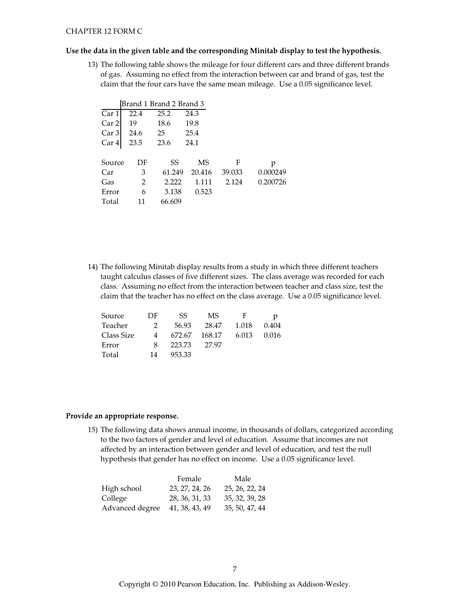#### Use the data in the given table and the corresponding Minitab display to test the hypothesis.

13) The following table shows the mileage for four different cars and three different brands of gas. Assuming no effect from the interaction between car and brand of gas, test the claim that the four cars have the same mean mileage. Use a 0.05 significance level.

|        |      | Brand 1 Brand 2 Brand 3 |        |        |          |
|--------|------|-------------------------|--------|--------|----------|
| Car 1  | 22.4 | 25.2                    | 24.3   |        |          |
| Car 2  | 19   | 18.6                    | 19.8   |        |          |
| Car 3  | 24.6 | 25                      | 25.4   |        |          |
| Car 4  | 23.5 | 23.6                    | 24.1   |        |          |
|        |      |                         |        |        |          |
| Source | DF   | SS                      | MS     | F      | р        |
| Car    | 3    | 61.249                  | 20.416 | 39.033 | 0.000249 |
| Gas    | 2    | 2.222                   | 1.111  | 2.124  | 0.200726 |
| Error  | 6    | 3.138                   | 0.523  |        |          |
| Total  | 11   | 66.609                  |        |        |          |

14) The following Minitab display results from a study in which three different teachers taught calculus classes of five different sizes. The class average was recorded for each class. Assuming no effect from the interaction between teacher and class size, test the claim that the teacher has no effect on the class average. Use a 0.05 significance level.

| Source     | DF.           | SS.    | MS.    | F     |       |
|------------|---------------|--------|--------|-------|-------|
| Teacher    | $\mathcal{P}$ | 56.93  | 28.47  | 1.018 | 0.404 |
| Class Size | 4             | 672.67 | 168.17 | 6.013 | 0.016 |
| Error      | 8             | 223.73 | 27.97  |       |       |
| Total      | 14            | 953.33 |        |       |       |

#### Provide an appropriate response.

15) The following data shows annual income, in thousands of dollars, categorized according to the two factors of gender and level of education. Assume that incomes are not affected by an interaction between gender and level of education, and test the null hypothesis that gender has no effect on income. Use a 0.05 significance level.

| Male           |
|----------------|
| 25, 26, 22, 24 |
| 35, 32, 39, 28 |
| 35, 50, 47, 44 |
|                |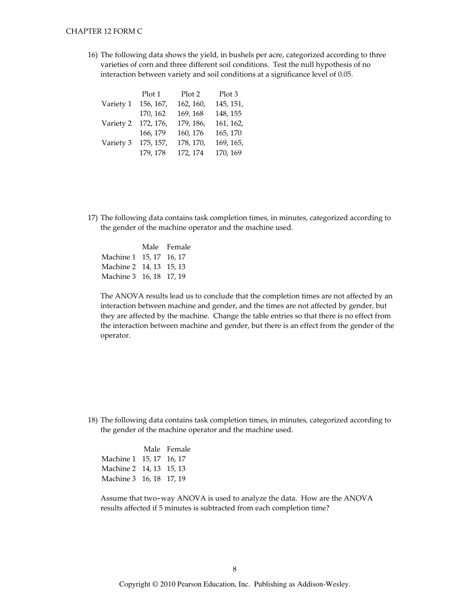16) The following data shows the yield, in bushels per acre, categorized according to three varieties of corn and three different soil conditions. Test the null hypothesis of no interaction between variety and soil conditions at a significance level of 0.05.

|           | Plot 1    | Plot 2    | Plot 3    |
|-----------|-----------|-----------|-----------|
| Variety 1 | 156, 167, | 162, 160, | 145, 151, |
|           | 170, 162  | 169, 168  | 148, 155  |
| Variety 2 | 172, 176, | 179, 186, | 161, 162, |
|           | 166, 179  | 160, 176  | 165, 170  |
| Variety 3 | 175, 157, | 178, 170, | 169, 165, |
|           | 179, 178  | 172, 174  | 170, 169  |

17) The following data contains task completion times, in minutes, categorized according to the gender of the machine operator and the machine used.

|                         | Male Female |
|-------------------------|-------------|
| Machine 1 15, 17 16, 17 |             |
| Machine 2 14, 13 15, 13 |             |
| Machine 3 16, 18 17, 19 |             |

The ANOVA results lead us to conclude that the completion times are not affected by an interaction between machine and gender, and the times are not affected by gender, but they are affected by the machine. Change the table entries so that there is no effect from the interaction between machine and gender, but there is an effect from the gender of the operator.

18) The following data contains task completion times, in minutes, categorized according to the gender of the machine operator and the machine used.

|                         | Male Female |
|-------------------------|-------------|
| Machine 1 15, 17 16, 17 |             |
| Machine 2 14, 13 15, 13 |             |
| Machine 3 16, 18 17, 19 |             |

Assume that two-way ANOVA is used to analyze the data. How are the ANOVA results affected if 5 minutes is subtracted from each completion time?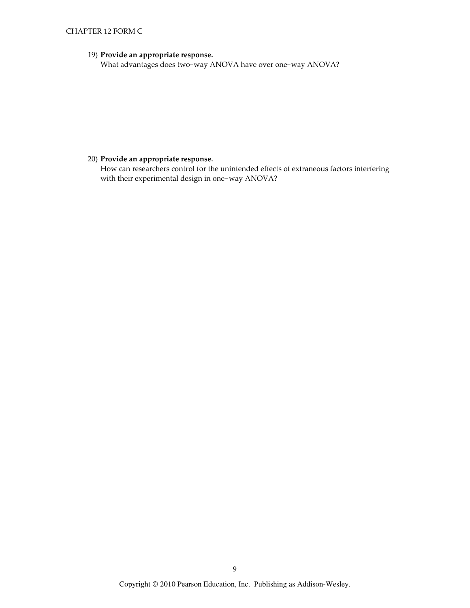# CHAPTER 12 FORM C

# 19) Provide an appropriate response.

What advantages does two-way ANOVA have over one-way ANOVA?

# 20) Provide an appropriate response.

How can researchers control for the unintended effects of extraneous factors interfering with their experimental design in one-way ANOVA?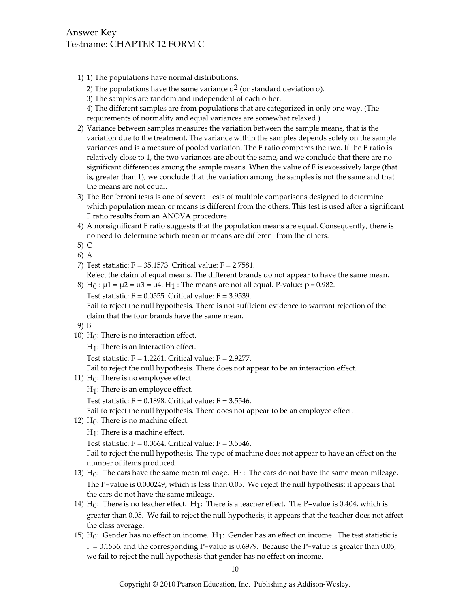# Answer Key Testname: CHAPTER 12 FORM C

1) 1) The populations have normal distributions.

2) The populations have the same variance  $\sigma^2$  (or standard deviation  $\sigma$ ).

3) The samples are random and independent of each other.

4) The different samples are from populations that are categorized in only one way. (The requirements of normality and equal variances are somewhat relaxed.)

- 2) Variance between samples measures the variation between the sample means, that is the variation due to the treatment. The variance within the samples depends solely on the sample variances and is a measure of pooled variation. The F ratio compares the two. If the F ratio is relatively close to 1, the two variances are about the same, and we conclude that there are no significant differences among the sample means. When the value of F is excessively large (that is, greater than 1), we conclude that the variation among the samples is not the same and that the means are not equal.
- 3) The Bonferroni tests is one of several tests of multiple comparisons designed to determine which population mean or means is different from the others. This test is used after a significant F ratio results from an ANOVA procedure.
- 4) A nonsignificant F ratio suggests that the population means are equal. Consequently, there is no need to determine which mean or means are different from the others.
- $5)$  C
- 6) A
- 7) Test statistic:  $F = 35.1573$ . Critical value:  $F = 2.7581$ .

Reject the claim of equal means. The different brands do not appear to have the same mean.

8) H<sub>0</sub> : μ1 = μ2 = μ3 = μ4. H<sub>1</sub> : The means are not all equal. P-value: p = 0.982.

Test statistic:  $F = 0.0555$ . Critical value:  $F = 3.9539$ .

Fail to reject the null hypothesis. There is not sufficient evidence to warrant rejection of the claim that the four brands have the same mean.

```
9) B
```
10)  $H_0$ : There is no interaction effect.

 $H_1$ : There is an interaction effect.

Test statistic:  $F = 1.2261$ . Critical value:  $F = 2.9277$ .

Fail to reject the null hypothesis. There does not appear to be an interaction effect.

11)  $H_0$ : There is no employee effect.

 $H_1$ : There is an employee effect.

Test statistic:  $F = 0.1898$ . Critical value:  $F = 3.5546$ .

Fail to reject the null hypothesis. There does not appear to be an employee effect.

- 12)  $H_0$ : There is no machine effect.
	- $H_1$ : There is a machine effect.

Test statistic:  $F = 0.0664$ . Critical value:  $F = 3.5546$ .

Fail to reject the null hypothesis. The type of machine does not appear to have an effect on the number of items produced.

- 13)  $H_0$ : The cars have the same mean mileage.  $H_1$ : The cars do not have the same mean mileage. The P-value is 0.000249, which is less than 0.05. We reject the null hypothesis; it appears that the cars do not have the same mileage.
- 14)  $H_0$ : There is no teacher effect.  $H_1$ : There is a teacher effect. The P-value is 0.404, which is greater than 0.05. We fail to reject the null hypothesis; it appears that the teacher does not affect the class average.
- 15) H<sub>0</sub>: Gender has no effect on income. H<sub>1</sub>: Gender has an effect on income. The test statistic is  $F = 0.1556$ , and the corresponding P-value is 0.6979. Because the P-value is greater than 0.05, we fail to reject the null hypothesis that gender has no effect on income.